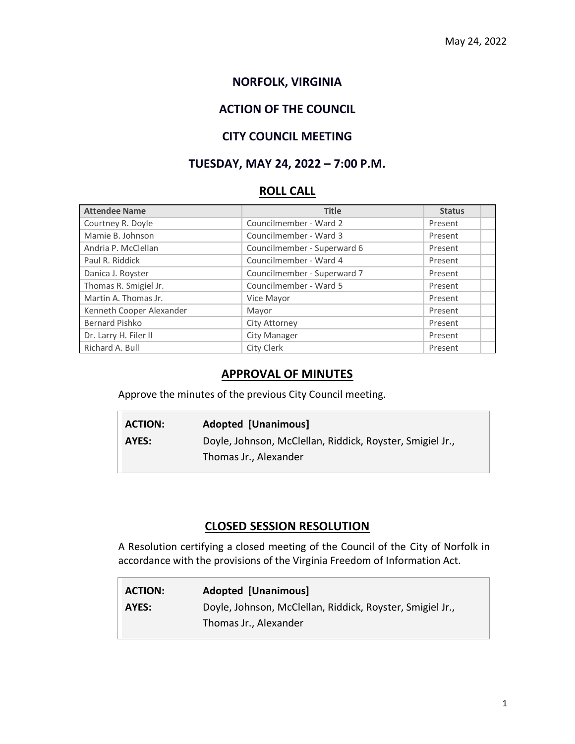# **NORFOLK, VIRGINIA**

# **ACTION OF THE COUNCIL**

#### **CITY COUNCIL MEETING**

## **TUESDAY, MAY 24, 2022 – 7:00 P.M.**

### **ROLL CALL**

| <b>Attendee Name</b>     | <b>Title</b>                | <b>Status</b> |
|--------------------------|-----------------------------|---------------|
| Courtney R. Doyle        | Councilmember - Ward 2      | Present       |
| Mamie B. Johnson         | Councilmember - Ward 3      | Present       |
| Andria P. McClellan      | Councilmember - Superward 6 | Present       |
| Paul R. Riddick          | Councilmember - Ward 4      | Present       |
| Danica J. Royster        | Councilmember - Superward 7 | Present       |
| Thomas R. Smigiel Jr.    | Councilmember - Ward 5      | Present       |
| Martin A. Thomas Jr.     | Vice Mayor                  | Present       |
| Kenneth Cooper Alexander | Mayor                       | Present       |
| Bernard Pishko           | City Attorney               | Present       |
| Dr. Larry H. Filer II    | City Manager                | Present       |
| Richard A. Bull          | City Clerk                  | Present       |

#### **APPROVAL OF MINUTES**

Approve the minutes of the previous City Council meeting.

| <b>ACTION:</b> | <b>Adopted [Unanimous]</b>                                |
|----------------|-----------------------------------------------------------|
| AYES:          | Doyle, Johnson, McClellan, Riddick, Royster, Smigiel Jr., |
|                | Thomas Jr., Alexander                                     |

#### **CLOSED SESSION RESOLUTION**

A Resolution certifying a closed meeting of the Council of the City of Norfolk in accordance with the provisions of the Virginia Freedom of Information Act.

| <b>ACTION:</b> | <b>Adopted [Unanimous]</b>                                |
|----------------|-----------------------------------------------------------|
| AYES:          | Doyle, Johnson, McClellan, Riddick, Royster, Smigiel Jr., |
|                | Thomas Jr., Alexander                                     |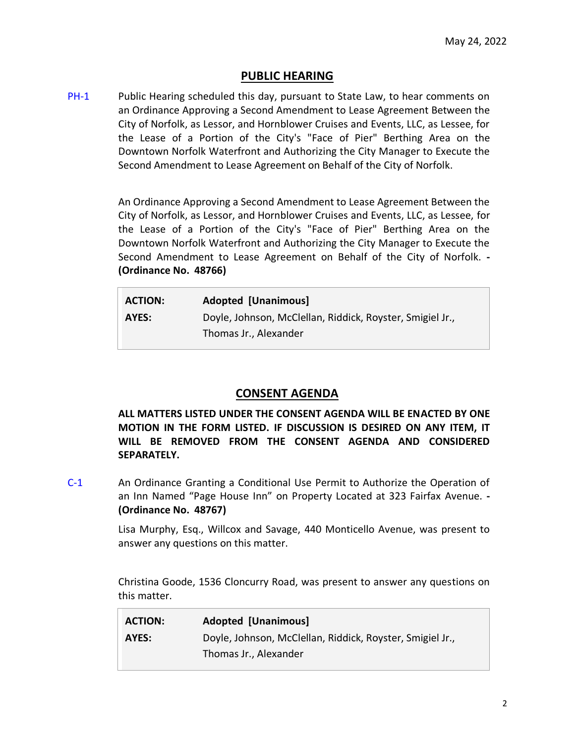#### **PUBLIC HEARING**

[PH-1](https://www.norfolk.gov/DocumentCenter/View/71717/05-24-2022-2) Public Hearing scheduled this day, pursuant to State Law, to hear comments on an Ordinance Approving a Second Amendment to Lease Agreement Between the City of Norfolk, as Lessor, and Hornblower Cruises and Events, LLC, as Lessee, for the Lease of a Portion of the City's "Face of Pier" Berthing Area on the Downtown Norfolk Waterfront and Authorizing the City Manager to Execute the Second Amendment to Lease Agreement on Behalf of the City of Norfolk.

> An Ordinance Approving a Second Amendment to Lease Agreement Between the City of Norfolk, as Lessor, and Hornblower Cruises and Events, LLC, as Lessee, for the Lease of a Portion of the City's "Face of Pier" Berthing Area on the Downtown Norfolk Waterfront and Authorizing the City Manager to Execute the Second Amendment to Lease Agreement on Behalf of the City of Norfolk. **- (Ordinance No. 48766)**

| <b>ACTION:</b> | <b>Adopted [Unanimous]</b>                                                         |
|----------------|------------------------------------------------------------------------------------|
| AYES:          | Doyle, Johnson, McClellan, Riddick, Royster, Smigiel Jr.,<br>Thomas Jr., Alexander |

#### **CONSENT AGENDA**

**ALL MATTERS LISTED UNDER THE CONSENT AGENDA WILL BE ENACTED BY ONE MOTION IN THE FORM LISTED. IF DISCUSSION IS DESIRED ON ANY ITEM, IT WILL BE REMOVED FROM THE CONSENT AGENDA AND CONSIDERED SEPARATELY.**

[C-1](https://www.norfolk.gov/DocumentCenter/View/71718/05-24-2022-3) An Ordinance Granting a Conditional Use Permit to Authorize the Operation of an Inn Named "Page House Inn" on Property Located at 323 Fairfax Avenue. **- (Ordinance No. 48767)**

> Lisa Murphy, Esq., Willcox and Savage, 440 Monticello Avenue, was present to answer any questions on this matter.

> Christina Goode, 1536 Cloncurry Road, was present to answer any questions on this matter.

| <b>ACTION:</b> | <b>Adopted [Unanimous]</b>                                |
|----------------|-----------------------------------------------------------|
| AYES:          | Doyle, Johnson, McClellan, Riddick, Royster, Smigiel Jr., |
|                | Thomas Jr., Alexander                                     |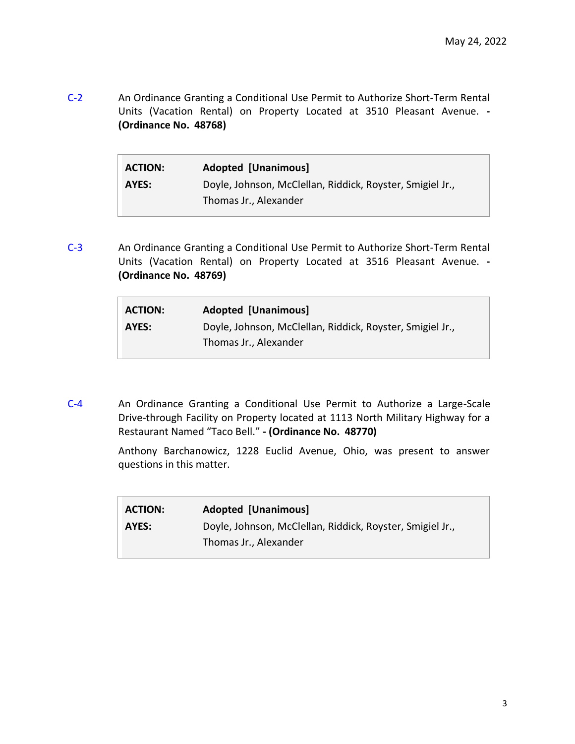[C-2](https://www.norfolk.gov/DocumentCenter/View/71719/05-24-2022-4) An Ordinance Granting a Conditional Use Permit to Authorize Short-Term Rental Units (Vacation Rental) on Property Located at 3510 Pleasant Avenue. **- (Ordinance No. 48768)**

| <b>ACTION:</b> | <b>Adopted [Unanimous]</b>                                |
|----------------|-----------------------------------------------------------|
| AYES:          | Doyle, Johnson, McClellan, Riddick, Royster, Smigiel Jr., |
|                | Thomas Jr., Alexander                                     |

[C-3](https://www.norfolk.gov/DocumentCenter/View/71720/05-24-2022-5) An Ordinance Granting a Conditional Use Permit to Authorize Short-Term Rental Units (Vacation Rental) on Property Located at 3516 Pleasant Avenue. **- (Ordinance No. 48769)**

| <b>ACTION:</b> | <b>Adopted [Unanimous]</b>                                |
|----------------|-----------------------------------------------------------|
| AYES:          | Doyle, Johnson, McClellan, Riddick, Royster, Smigiel Jr., |
|                | Thomas Jr., Alexander                                     |

[C-4](https://www.norfolk.gov/DocumentCenter/View/71721/05-24-2022-6) An Ordinance Granting a Conditional Use Permit to Authorize a Large-Scale Drive-through Facility on Property located at 1113 North Military Highway for a Restaurant Named "Taco Bell." **- (Ordinance No. 48770)**

> Anthony Barchanowicz, 1228 Euclid Avenue, Ohio, was present to answer questions in this matter.

| <b>ACTION:</b> | <b>Adopted [Unanimous]</b>                                                         |
|----------------|------------------------------------------------------------------------------------|
| AYES:          | Doyle, Johnson, McClellan, Riddick, Royster, Smigiel Jr.,<br>Thomas Jr., Alexander |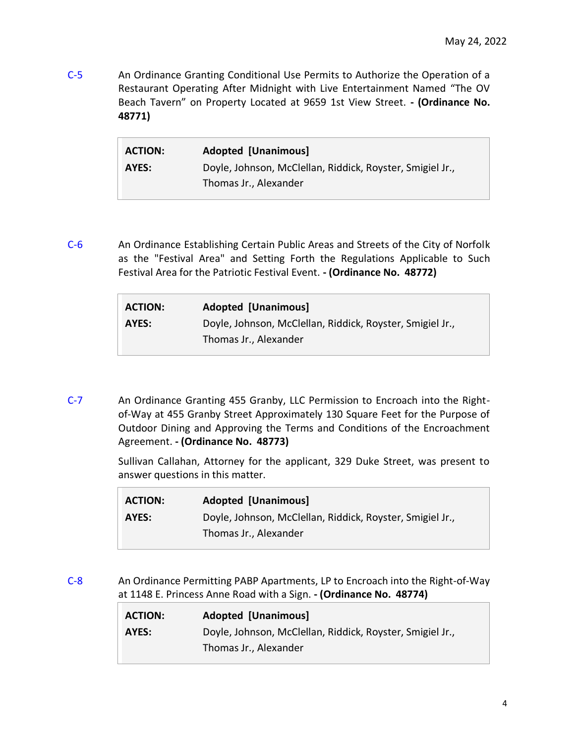[C-5](https://www.norfolk.gov/DocumentCenter/View/71722/05-24-2022-7) An Ordinance Granting Conditional Use Permits to Authorize the Operation of a Restaurant Operating After Midnight with Live Entertainment Named "The OV Beach Tavern" on Property Located at 9659 1st View Street. **- (Ordinance No. 48771)**

| <b>ACTION:</b> | <b>Adopted [Unanimous]</b>                                |
|----------------|-----------------------------------------------------------|
| AYES:          | Doyle, Johnson, McClellan, Riddick, Royster, Smigiel Jr., |
|                | Thomas Jr., Alexander                                     |

[C-6](https://www.norfolk.gov/DocumentCenter/View/71723/05-24-2022-8) An Ordinance Establishing Certain Public Areas and Streets of the City of Norfolk as the "Festival Area" and Setting Forth the Regulations Applicable to Such Festival Area for the Patriotic Festival Event. **- (Ordinance No. 48772)**

| <b>ACTION:</b> | <b>Adopted [Unanimous]</b>                                |
|----------------|-----------------------------------------------------------|
| AYES:          | Doyle, Johnson, McClellan, Riddick, Royster, Smigiel Jr., |
|                | Thomas Jr., Alexander                                     |

[C-7](https://www.norfolk.gov/DocumentCenter/View/71724/05-24-2022-9) An Ordinance Granting 455 Granby, LLC Permission to Encroach into the Rightof-Way at 455 Granby Street Approximately 130 Square Feet for the Purpose of Outdoor Dining and Approving the Terms and Conditions of the Encroachment Agreement. **- (Ordinance No. 48773)**

> Sullivan Callahan, Attorney for the applicant, 329 Duke Street, was present to answer questions in this matter.

| <b>ACTION:</b> | <b>Adopted [Unanimous]</b>                                |
|----------------|-----------------------------------------------------------|
| AYES:          | Doyle, Johnson, McClellan, Riddick, Royster, Smigiel Jr., |
|                | Thomas Jr., Alexander                                     |

[C-8](https://www.norfolk.gov/DocumentCenter/View/71725/05-24-2022-10) An Ordinance Permitting PABP Apartments, LP to Encroach into the Right-of-Way at 1148 E. Princess Anne Road with a Sign. **- (Ordinance No. 48774)**

| <b>ACTION:</b> | <b>Adopted [Unanimous]</b>                                |
|----------------|-----------------------------------------------------------|
| AYES:          | Doyle, Johnson, McClellan, Riddick, Royster, Smigiel Jr., |
|                | Thomas Jr., Alexander                                     |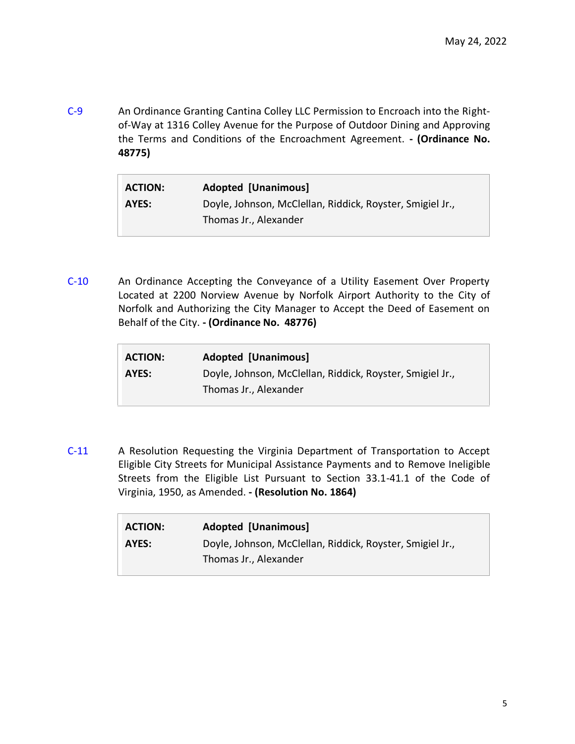[C-9](https://www.norfolk.gov/DocumentCenter/View/71726/05-24-2022-11) An Ordinance Granting Cantina Colley LLC Permission to Encroach into the Rightof-Way at 1316 Colley Avenue for the Purpose of Outdoor Dining and Approving the Terms and Conditions of the Encroachment Agreement. **- (Ordinance No. 48775)**

| <b>ACTION:</b> | <b>Adopted [Unanimous]</b>                                                         |
|----------------|------------------------------------------------------------------------------------|
| AYES:          | Doyle, Johnson, McClellan, Riddick, Royster, Smigiel Jr.,<br>Thomas Jr., Alexander |

[C-10](https://www.norfolk.gov/DocumentCenter/View/71727/05-24-2022-12) An Ordinance Accepting the Conveyance of a Utility Easement Over Property Located at 2200 Norview Avenue by Norfolk Airport Authority to the City of Norfolk and Authorizing the City Manager to Accept the Deed of Easement on Behalf of the City. **- (Ordinance No. 48776)**

| <b>ACTION:</b> | <b>Adopted [Unanimous]</b>                                |
|----------------|-----------------------------------------------------------|
| AYES:          | Doyle, Johnson, McClellan, Riddick, Royster, Smigiel Jr., |
|                | Thomas Jr., Alexander                                     |

[C-11](https://www.norfolk.gov/DocumentCenter/View/71728/05-24-2022-13) A Resolution Requesting the Virginia Department of Transportation to Accept Eligible City Streets for Municipal Assistance Payments and to Remove Ineligible Streets from the Eligible List Pursuant to Section 33.1-41.1 of the Code of Virginia, 1950, as Amended. **- (Resolution No. 1864)**

| <b>ACTION:</b> | <b>Adopted [Unanimous]</b>                                |
|----------------|-----------------------------------------------------------|
| AYES:          | Doyle, Johnson, McClellan, Riddick, Royster, Smigiel Jr., |
|                | Thomas Jr., Alexander                                     |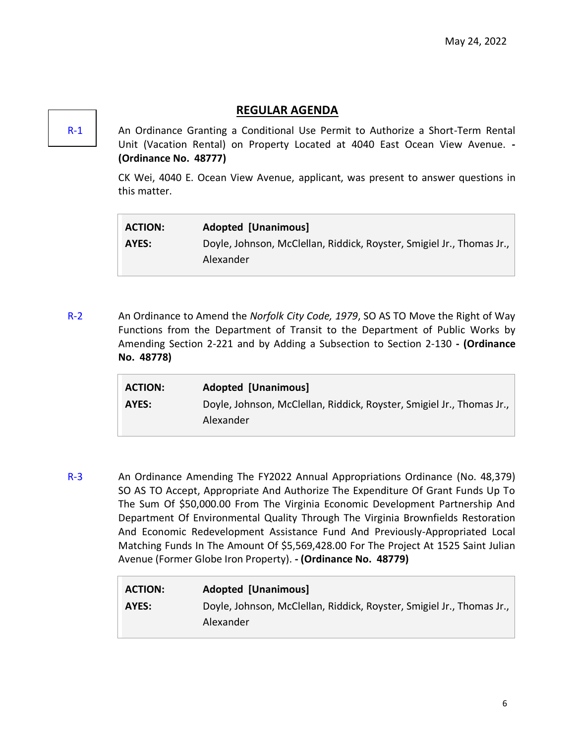# **REGULAR AGENDA**

[R-1](https://www.norfolk.gov/DocumentCenter/View/71729/05-24-2022-14) An Ordinance Granting a Conditional Use Permit to Authorize a Short-Term Rental Unit (Vacation Rental) on Property Located at 4040 East Ocean View Avenue. **- (Ordinance No. 48777)**

> CK Wei, 4040 E. Ocean View Avenue, applicant, was present to answer questions in this matter.

| <b>ACTION:</b> | <b>Adopted [Unanimous]</b>                                            |
|----------------|-----------------------------------------------------------------------|
| AYES:          | Doyle, Johnson, McClellan, Riddick, Royster, Smigiel Jr., Thomas Jr., |
|                | Alexander                                                             |

[R-2](https://www.norfolk.gov/DocumentCenter/View/71738/05-24-2022-23) An Ordinance to Amend the *Norfolk City Code, 1979*, SO AS TO Move the Right of Way Functions from the Department of Transit to the Department of Public Works by Amending Section 2-221 and by Adding a Subsection to Section 2-130 **- (Ordinance No. 48778)**

| <b>ACTION:</b> | Adopted [Unanimous]                                                   |
|----------------|-----------------------------------------------------------------------|
| AYES:          | Doyle, Johnson, McClellan, Riddick, Royster, Smigiel Jr., Thomas Jr., |
|                | Alexander                                                             |

[R-3](https://www.norfolk.gov/DocumentCenter/View/71739/05-24-2022-24) An Ordinance Amending The FY2022 Annual Appropriations Ordinance (No. 48,379) SO AS TO Accept, Appropriate And Authorize The Expenditure Of Grant Funds Up To The Sum Of \$50,000.00 From The Virginia Economic Development Partnership And Department Of Environmental Quality Through The Virginia Brownfields Restoration And Economic Redevelopment Assistance Fund And Previously-Appropriated Local Matching Funds In The Amount Of \$5,569,428.00 For The Project At 1525 Saint Julian Avenue (Former Globe Iron Property). **- (Ordinance No. 48779)**

| <b>ACTION:</b> | <b>Adopted [Unanimous]</b>                                            |
|----------------|-----------------------------------------------------------------------|
| AYES:          | Doyle, Johnson, McClellan, Riddick, Royster, Smigiel Jr., Thomas Jr., |
|                | Alexander                                                             |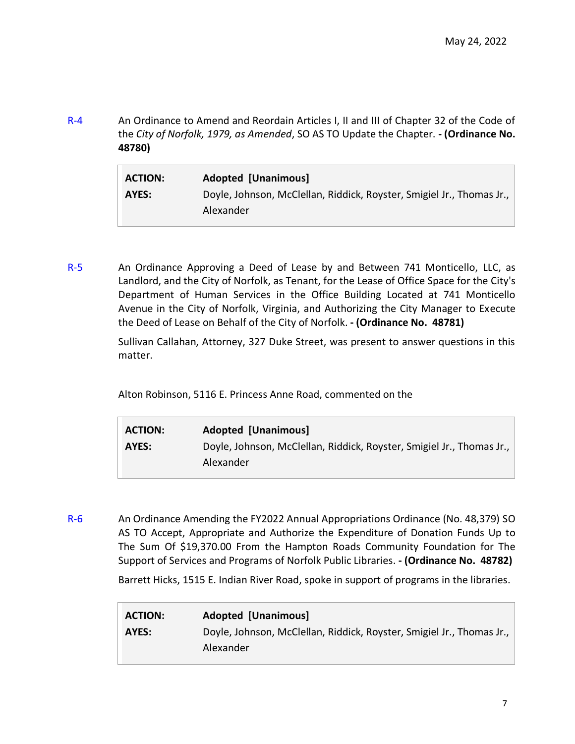[R-4](https://www.norfolk.gov/DocumentCenter/View/71730/05-24-2022-15) An Ordinance to Amend and Reordain Articles I, II and III of Chapter 32 of the Code of the *City of Norfolk, 1979, as Amended*, SO AS TO Update the Chapter. **- (Ordinance No. 48780)**

| <b>ACTION:</b> | <b>Adopted [Unanimous]</b>                                                         |
|----------------|------------------------------------------------------------------------------------|
| AYES:          | Doyle, Johnson, McClellan, Riddick, Royster, Smigiel Jr., Thomas Jr.,<br>Alexander |

[R-5](https://www.norfolk.gov/DocumentCenter/View/71731/05-24-2022-16) An Ordinance Approving a Deed of Lease by and Between 741 Monticello, LLC, as Landlord, and the City of Norfolk, as Tenant, for the Lease of Office Space for the City's Department of Human Services in the Office Building Located at 741 Monticello Avenue in the City of Norfolk, Virginia, and Authorizing the City Manager to Execute the Deed of Lease on Behalf of the City of Norfolk. **- (Ordinance No. 48781)**

> Sullivan Callahan, Attorney, 327 Duke Street, was present to answer questions in this matter.

Alton Robinson, 5116 E. Princess Anne Road, commented on the

| <b>ACTION:</b> | <b>Adopted [Unanimous]</b>                                            |
|----------------|-----------------------------------------------------------------------|
| AYES:          | Doyle, Johnson, McClellan, Riddick, Royster, Smigiel Jr., Thomas Jr., |
|                | Alexander                                                             |

[R-6](https://www.norfolk.gov/DocumentCenter/View/71732/05-24-2022-17) An Ordinance Amending the FY2022 Annual Appropriations Ordinance (No. 48,379) SO AS TO Accept, Appropriate and Authorize the Expenditure of Donation Funds Up to The Sum Of \$19,370.00 From the Hampton Roads Community Foundation for The Support of Services and Programs of Norfolk Public Libraries. **- (Ordinance No. 48782)**

Barrett Hicks, 1515 E. Indian River Road, spoke in support of programs in the libraries.

| <b>ACTION:</b> | <b>Adopted [Unanimous]</b>                                                         |
|----------------|------------------------------------------------------------------------------------|
| AYES:          | Doyle, Johnson, McClellan, Riddick, Royster, Smigiel Jr., Thomas Jr.,<br>Alexander |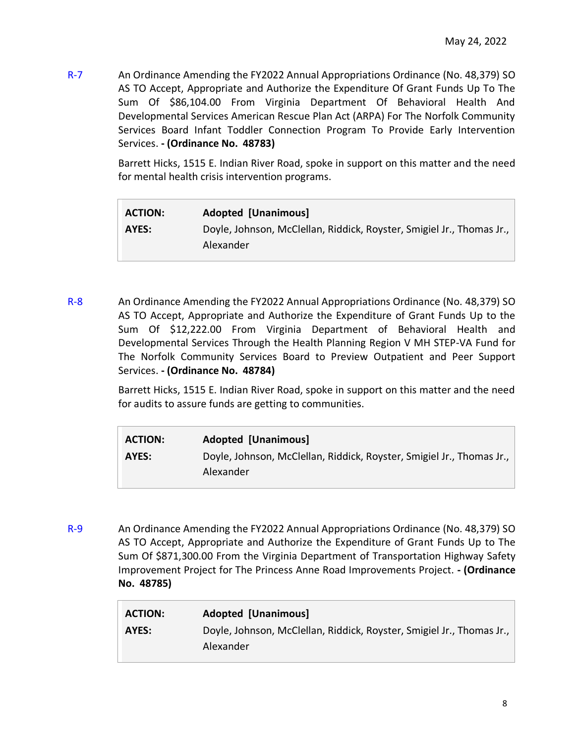[R-7](https://www.norfolk.gov/DocumentCenter/View/71733/05-24-2022-18) An Ordinance Amending the FY2022 Annual Appropriations Ordinance (No. 48,379) SO AS TO Accept, Appropriate and Authorize the Expenditure Of Grant Funds Up To The Sum Of \$86,104.00 From Virginia Department Of Behavioral Health And Developmental Services American Rescue Plan Act (ARPA) For The Norfolk Community Services Board Infant Toddler Connection Program To Provide Early Intervention Services. **- (Ordinance No. 48783)**

> Barrett Hicks, 1515 E. Indian River Road, spoke in support on this matter and the need for mental health crisis intervention programs.

| <b>ACTION:</b> | <b>Adopted [Unanimous]</b>                                            |
|----------------|-----------------------------------------------------------------------|
| AYES:          | Doyle, Johnson, McClellan, Riddick, Royster, Smigiel Jr., Thomas Jr., |
|                | Alexander                                                             |

[R-8](https://www.norfolk.gov/DocumentCenter/View/71734/05-24-2022-19) An Ordinance Amending the FY2022 Annual Appropriations Ordinance (No. 48,379) SO AS TO Accept, Appropriate and Authorize the Expenditure of Grant Funds Up to the Sum Of \$12,222.00 From Virginia Department of Behavioral Health and Developmental Services Through the Health Planning Region V MH STEP-VA Fund for The Norfolk Community Services Board to Preview Outpatient and Peer Support Services. **- (Ordinance No. 48784)**

> Barrett Hicks, 1515 E. Indian River Road, spoke in support on this matter and the need for audits to assure funds are getting to communities.

| <b>ACTION:</b> | <b>Adopted [Unanimous]</b>                                            |
|----------------|-----------------------------------------------------------------------|
| AYES:          | Doyle, Johnson, McClellan, Riddick, Royster, Smigiel Jr., Thomas Jr., |
|                | Alexander                                                             |

[R-9](https://www.norfolk.gov/DocumentCenter/View/71735/05-24-2022-20) An Ordinance Amending the FY2022 Annual Appropriations Ordinance (No. 48,379) SO AS TO Accept, Appropriate and Authorize the Expenditure of Grant Funds Up to The Sum Of \$871,300.00 From the Virginia Department of Transportation Highway Safety Improvement Project for The Princess Anne Road Improvements Project. **- (Ordinance No. 48785)**

| <b>ACTION:</b> | Adopted [Unanimous]                                                   |
|----------------|-----------------------------------------------------------------------|
| AYES:          | Doyle, Johnson, McClellan, Riddick, Royster, Smigiel Jr., Thomas Jr., |
|                | Alexander                                                             |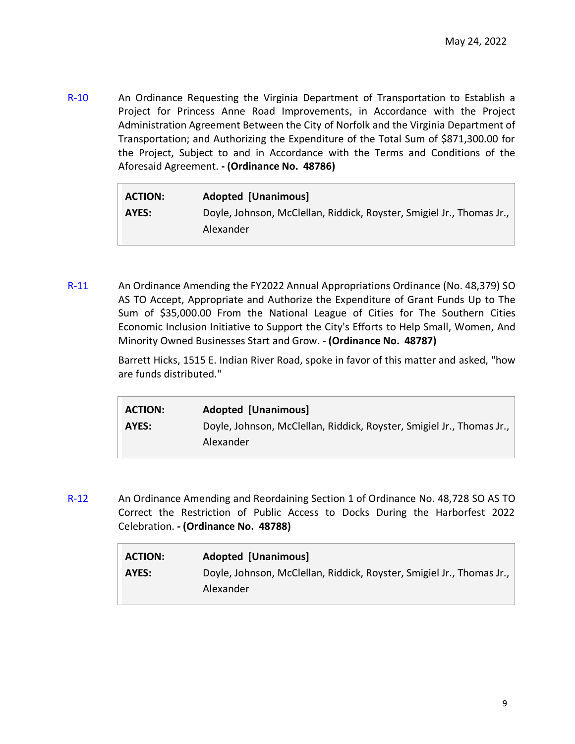[R-10](https://www.norfolk.gov/DocumentCenter/View/71736/05-24-2022-21) An Ordinance Requesting the Virginia Department of Transportation to Establish a Project for Princess Anne Road Improvements, in Accordance with the Project Administration Agreement Between the City of Norfolk and the Virginia Department of Transportation; and Authorizing the Expenditure of the Total Sum of \$871,300.00 for the Project, Subject to and in Accordance with the Terms and Conditions of the Aforesaid Agreement. **- (Ordinance No. 48786)**

| <b>ACTION:</b> | <b>Adopted [Unanimous]</b>                                            |
|----------------|-----------------------------------------------------------------------|
| AYES:          | Doyle, Johnson, McClellan, Riddick, Royster, Smigiel Jr., Thomas Jr., |
|                | Alexander                                                             |

[R-11](https://www.norfolk.gov/DocumentCenter/View/71737/05-24-2022-22) An Ordinance Amending the FY2022 Annual Appropriations Ordinance (No. 48,379) SO AS TO Accept, Appropriate and Authorize the Expenditure of Grant Funds Up to The Sum of \$35,000.00 From the National League of Cities for The Southern Cities Economic Inclusion Initiative to Support the City's Efforts to Help Small, Women, And Minority Owned Businesses Start and Grow. **- (Ordinance No. 48787)**

> Barrett Hicks, 1515 E. Indian River Road, spoke in favor of this matter and asked, "how are funds distributed."

| <b>ACTION:</b> | <b>Adopted [Unanimous]</b>                                            |
|----------------|-----------------------------------------------------------------------|
| AYES:          | Doyle, Johnson, McClellan, Riddick, Royster, Smigiel Jr., Thomas Jr., |
|                | Alexander                                                             |

[R-12](https://www.norfolk.gov/DocumentCenter/View/71740/05-24-2022) An Ordinance Amending and Reordaining Section 1 of Ordinance No. 48,728 SO AS TO Correct the Restriction of Public Access to Docks During the Harborfest 2022 Celebration. **- (Ordinance No. 48788)**

| <b>ACTION:</b> | <b>Adopted [Unanimous]</b>                                            |
|----------------|-----------------------------------------------------------------------|
| AYES:          | Doyle, Johnson, McClellan, Riddick, Royster, Smigiel Jr., Thomas Jr., |
|                | Alexander                                                             |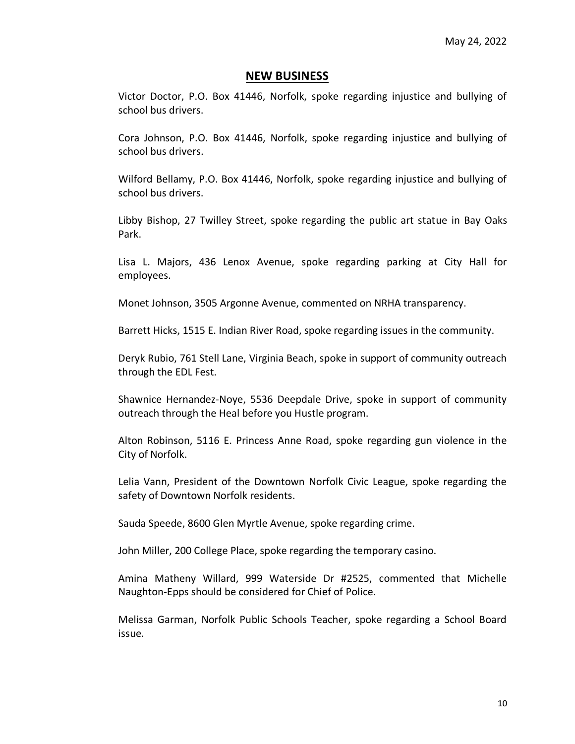#### **NEW BUSINESS**

Victor Doctor, P.O. Box 41446, Norfolk, spoke regarding injustice and bullying of school bus drivers.

Cora Johnson, P.O. Box 41446, Norfolk, spoke regarding injustice and bullying of school bus drivers.

Wilford Bellamy, P.O. Box 41446, Norfolk, spoke regarding injustice and bullying of school bus drivers.

Libby Bishop, 27 Twilley Street, spoke regarding the public art statue in Bay Oaks Park.

Lisa L. Majors, 436 Lenox Avenue, spoke regarding parking at City Hall for employees.

Monet Johnson, 3505 Argonne Avenue, commented on NRHA transparency.

Barrett Hicks, 1515 E. Indian River Road, spoke regarding issues in the community.

Deryk Rubio, 761 Stell Lane, Virginia Beach, spoke in support of community outreach through the EDL Fest.

Shawnice Hernandez-Noye, 5536 Deepdale Drive, spoke in support of community outreach through the Heal before you Hustle program.

Alton Robinson, 5116 E. Princess Anne Road, spoke regarding gun violence in the City of Norfolk.

Lelia Vann, President of the Downtown Norfolk Civic League, spoke regarding the safety of Downtown Norfolk residents.

Sauda Speede, 8600 Glen Myrtle Avenue, spoke regarding crime.

John Miller, 200 College Place, spoke regarding the temporary casino.

Amina Matheny Willard, 999 Waterside Dr #2525, commented that Michelle Naughton-Epps should be considered for Chief of Police.

Melissa Garman, Norfolk Public Schools Teacher, spoke regarding a School Board issue.